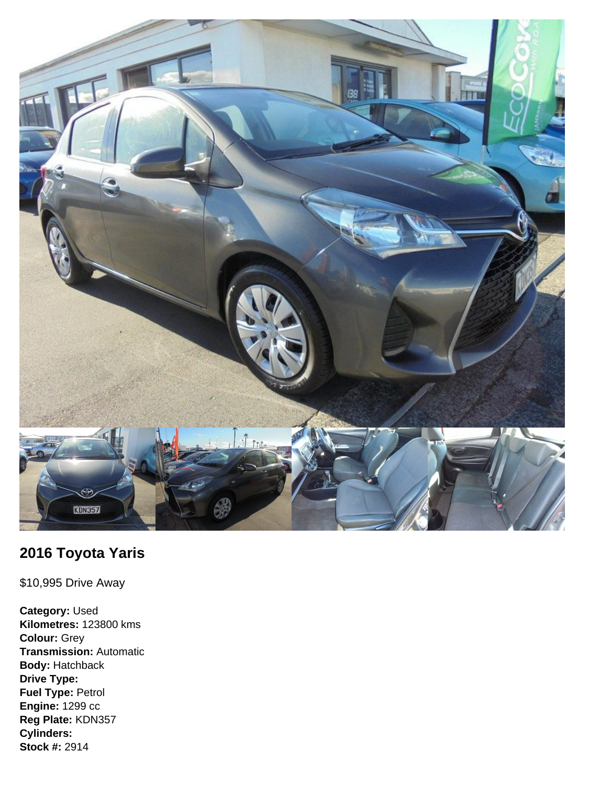

## **2016 Toyota Yaris**

\$10,995 Drive Away

**Category:** Used **Kilometres:** 123800 kms **Colour:** Grey **Transmission:** Automatic **Body:** Hatchback **Drive Type: Fuel Type:** Petrol **Engine:** 1299 cc **Reg Plate:** KDN357 **Cylinders: Stock #:** 2914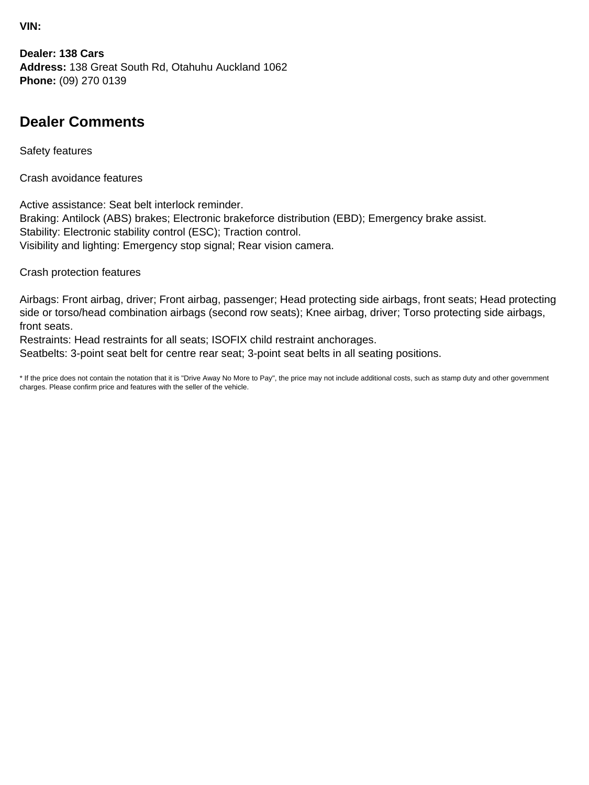**VIN:**

**Dealer: 138 Cars Address:** 138 Great South Rd, Otahuhu Auckland 1062 **Phone:** (09) 270 0139

## **Dealer Comments**

Safety features

Crash avoidance features

Active assistance: Seat belt interlock reminder. Braking: Antilock (ABS) brakes; Electronic brakeforce distribution (EBD); Emergency brake assist. Stability: Electronic stability control (ESC); Traction control. Visibility and lighting: Emergency stop signal; Rear vision camera.

Crash protection features

Airbags: Front airbag, driver; Front airbag, passenger; Head protecting side airbags, front seats; Head protecting side or torso/head combination airbags (second row seats); Knee airbag, driver; Torso protecting side airbags, front seats.

Restraints: Head restraints for all seats; ISOFIX child restraint anchorages.

Seatbelts: 3-point seat belt for centre rear seat; 3-point seat belts in all seating positions.

\* If the price does not contain the notation that it is "Drive Away No More to Pay", the price may not include additional costs, such as stamp duty and other government charges. Please confirm price and features with the seller of the vehicle.